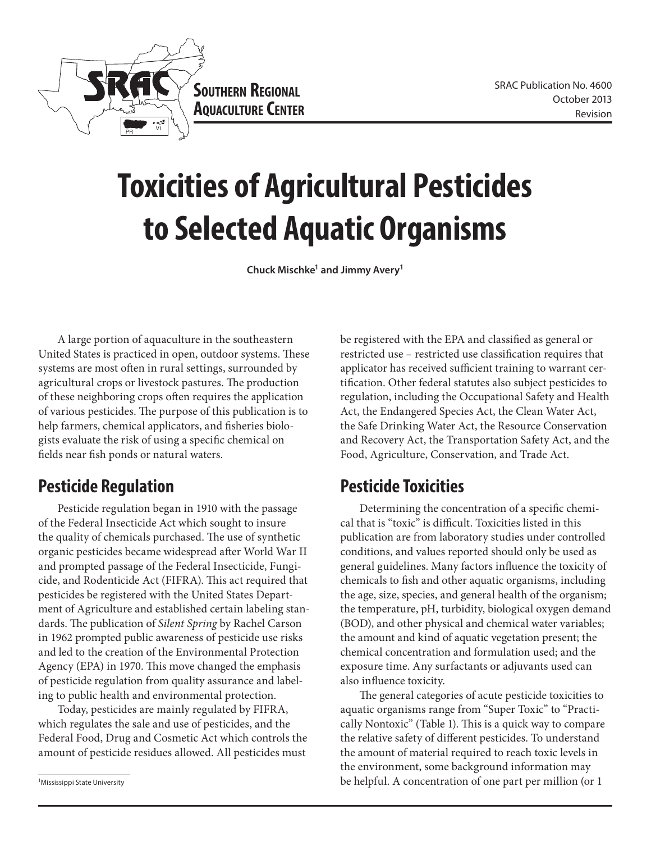

# **Toxicities of Agricultural Pesticides to Selected Aquatic Organisms**

**Chuck Mischke1 and Jimmy Avery1**

A large portion of aquaculture in the southeastern United States is practiced in open, outdoor systems. These systems are most often in rural settings, surrounded by agricultural crops or livestock pastures. The production of these neighboring crops often requires the application of various pesticides. The purpose of this publication is to help farmers, chemical applicators, and fisheries biologists evaluate the risk of using a specific chemical on fields near fish ponds or natural waters.

## **Pesticide Regulation**

Pesticide regulation began in 1910 with the passage of the Federal Insecticide Act which sought to insure the quality of chemicals purchased. The use of synthetic organic pesticides became widespread after World War II and prompted passage of the Federal Insecticide, Fungicide, and Rodenticide Act (FIFRA). This act required that pesticides be registered with the United States Department of Agriculture and established certain labeling standards. The publication of *Silent Spring* by Rachel Carson in 1962 prompted public awareness of pesticide use risks and led to the creation of the Environmental Protection Agency (EPA) in 1970. This move changed the emphasis of pesticide regulation from quality assurance and labeling to public health and environmental protection.

Today, pesticides are mainly regulated by FIFRA, which regulates the sale and use of pesticides, and the Federal Food, Drug and Cosmetic Act which controls the amount of pesticide residues allowed. All pesticides must

<sup>1</sup>Mississippi State University

be registered with the EPA and classified as general or restricted use – restricted use classification requires that applicator has received sufficient training to warrant certification. Other federal statutes also subject pesticides to regulation, including the Occupational Safety and Health Act, the Endangered Species Act, the Clean Water Act, the Safe Drinking Water Act, the Resource Conservation and Recovery Act, the Transportation Safety Act, and the Food, Agriculture, Conservation, and Trade Act.

# **Pesticide Toxicities**

Determining the concentration of a specific chemical that is "toxic" is difficult. Toxicities listed in this publication are from laboratory studies under controlled conditions, and values reported should only be used as general guidelines. Many factors influence the toxicity of chemicals to fish and other aquatic organisms, including the age, size, species, and general health of the organism; the temperature, pH, turbidity, biological oxygen demand (BOD), and other physical and chemical water variables; the amount and kind of aquatic vegetation present; the chemical concentration and formulation used; and the exposure time. Any surfactants or adjuvants used can also influence toxicity.

The general categories of acute pesticide toxicities to aquatic organisms range from "Super Toxic" to "Practically Nontoxic" (Table 1). This is a quick way to compare the relative safety of different pesticides. To understand the amount of material required to reach toxic levels in the environment, some background information may be helpful. A concentration of one part per million (or 1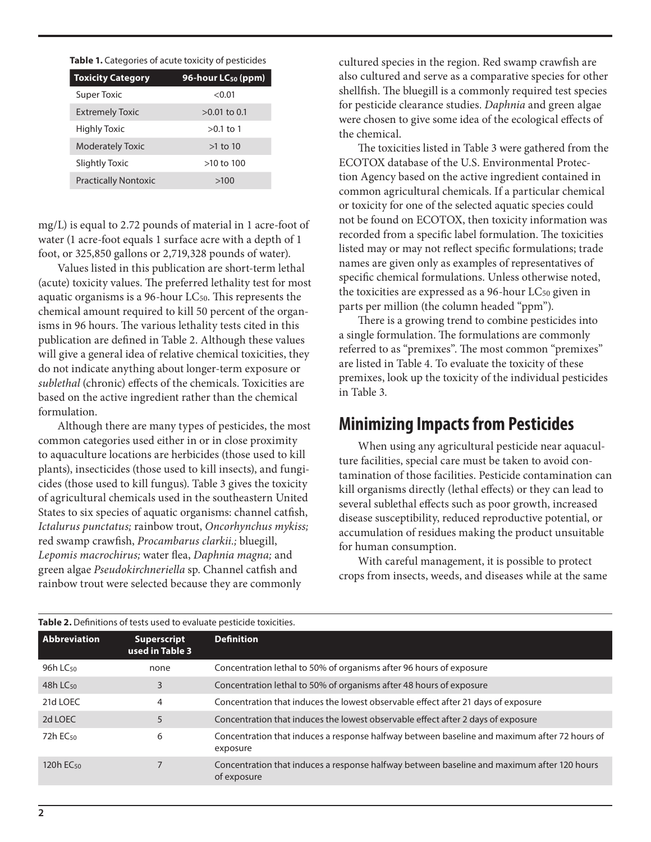| <b>Table 1.</b> Categories of acute toxicity of pesticides |                                |  |  |  |  |  |
|------------------------------------------------------------|--------------------------------|--|--|--|--|--|
| <b>Toxicity Category</b>                                   | 96-hour LC <sub>50</sub> (ppm) |  |  |  |  |  |
| Super Toxic                                                | < 0.01                         |  |  |  |  |  |
| <b>Extremely Toxic</b>                                     | $>0.01$ to 0.1                 |  |  |  |  |  |
| Highly Toxic                                               | $>0.1$ to 1                    |  |  |  |  |  |
| <b>Moderately Toxic</b>                                    | $>1$ to 10                     |  |  |  |  |  |
| Slightly Toxic                                             | $>10$ to $100$                 |  |  |  |  |  |
| <b>Practically Nontoxic</b>                                | >100                           |  |  |  |  |  |

mg/L) is equal to 2.72 pounds of material in 1 acre-foot of water (1 acre-foot equals 1 surface acre with a depth of 1 foot, or 325,850 gallons or 2,719,328 pounds of water).

Values listed in this publication are short-term lethal (acute) toxicity values. The preferred lethality test for most aquatic organisms is a 96-hour  $LC_{50}$ . This represents the chemical amount required to kill 50 percent of the organisms in 96 hours. The various lethality tests cited in this publication are defined in Table 2. Although these values will give a general idea of relative chemical toxicities, they do not indicate anything about longer-term exposure or *sublethal* (chronic) effects of the chemicals. Toxicities are based on the active ingredient rather than the chemical formulation.

Although there are many types of pesticides, the most common categories used either in or in close proximity to aquaculture locations are herbicides (those used to kill plants), insecticides (those used to kill insects), and fungicides (those used to kill fungus). Table 3 gives the toxicity of agricultural chemicals used in the southeastern United States to six species of aquatic organisms: channel catfish, *Ictalurus punctatus;* rainbow trout, *Oncorhynchus mykiss;*  red swamp crawfish, *Procambarus clarkii.;* bluegill, *Lepomis macrochirus;* water flea, *Daphnia magna;* and green algae *Pseudokirchneriella* sp. Channel catfish and rainbow trout were selected because they are commonly

cultured species in the region. Red swamp crawfish are also cultured and serve as a comparative species for other shellfish. The bluegill is a commonly required test species for pesticide clearance studies. *Daphnia* and green algae were chosen to give some idea of the ecological effects of the chemical.

The toxicities listed in Table 3 were gathered from the ECOTOX database of the U.S. Environmental Protection Agency based on the active ingredient contained in common agricultural chemicals. If a particular chemical or toxicity for one of the selected aquatic species could not be found on ECOTOX, then toxicity information was recorded from a specific label formulation. The toxicities listed may or may not reflect specific formulations; trade names are given only as examples of representatives of specific chemical formulations. Unless otherwise noted, the toxicities are expressed as a 96-hour LC<sub>50</sub> given in parts per million (the column headed "ppm").

There is a growing trend to combine pesticides into a single formulation. The formulations are commonly referred to as "premixes". The most common "premixes" are listed in Table 4. To evaluate the toxicity of these premixes, look up the toxicity of the individual pesticides in Table 3.

## **Minimizing Impacts from Pesticides**

When using any agricultural pesticide near aquaculture facilities, special care must be taken to avoid contamination of those facilities. Pesticide contamination can kill organisms directly (lethal effects) or they can lead to several sublethal effects such as poor growth, increased disease susceptibility, reduced reproductive potential, or accumulation of residues making the product unsuitable for human consumption.

With careful management, it is possible to protect crops from insects, weeds, and diseases while at the same

| Table 2. Definitions of tests used to evaluate pesticide toxicities. |                                       |                                                                                                           |  |  |  |  |
|----------------------------------------------------------------------|---------------------------------------|-----------------------------------------------------------------------------------------------------------|--|--|--|--|
| <b>Abbreviation</b>                                                  | <b>Superscript</b><br>used in Table 3 | <b>Definition</b>                                                                                         |  |  |  |  |
| 96h LC <sub>50</sub>                                                 | none                                  | Concentration lethal to 50% of organisms after 96 hours of exposure                                       |  |  |  |  |
| 48h LC <sub>50</sub>                                                 | 3                                     | Concentration lethal to 50% of organisms after 48 hours of exposure                                       |  |  |  |  |
| 21d LOEC                                                             | 4                                     | Concentration that induces the lowest observable effect after 21 days of exposure                         |  |  |  |  |
| 2d LOEC                                                              | 5                                     | Concentration that induces the lowest observable effect after 2 days of exposure                          |  |  |  |  |
| 72h EC <sub>50</sub>                                                 | 6                                     | Concentration that induces a response halfway between baseline and maximum after 72 hours of<br>exposure  |  |  |  |  |
| 120h EC <sub>50</sub>                                                |                                       | Concentration that induces a response halfway between baseline and maximum after 120 hours<br>of exposure |  |  |  |  |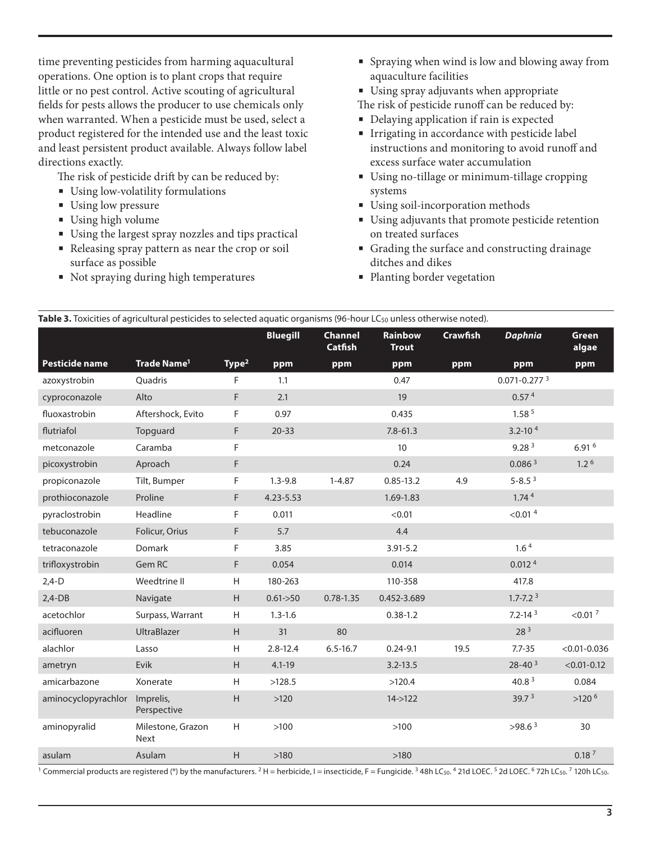time preventing pesticides from harming aquacultural operations. One option is to plant crops that require little or no pest control. Active scouting of agricultural fields for pests allows the producer to use chemicals only when warranted. When a pesticide must be used, select a product registered for the intended use and the least toxic and least persistent product available. Always follow label directions exactly.

The risk of pesticide drift by can be reduced by:

- Using low-volatility formulations
- Using low pressure
- Using high volume
- Using the largest spray nozzles and tips practical
- Releasing spray pattern as near the crop or soil surface as possible
- Not spraying during high temperatures
- Spraying when wind is low and blowing away from aquaculture facilities
- Using spray adjuvants when appropriate
- The risk of pesticide runoff can be reduced by:
- Delaying application if rain is expected
- Irrigating in accordance with pesticide label instructions and monitoring to avoid runoff and excess surface water accumulation
- Using no-tillage or minimum-tillage cropping systems
- Using soil-incorporation methods
- Using adjuvants that promote pesticide retention on treated surfaces
- Grading the surface and constructing drainage ditches and dikes
- Planting border vegetation

| Table 3. Toxicities of agricultural pesticides to selected aquatic organisms (96-hour LC <sub>50</sub> unless otherwise noted). |                                  |                   |                 |                                  |                         |                 |                              |                       |
|---------------------------------------------------------------------------------------------------------------------------------|----------------------------------|-------------------|-----------------|----------------------------------|-------------------------|-----------------|------------------------------|-----------------------|
|                                                                                                                                 |                                  |                   | <b>Bluegill</b> | <b>Channel</b><br><b>Catfish</b> | Rainbow<br><b>Trout</b> | <b>Crawfish</b> | <b>Daphnia</b>               | <b>Green</b><br>algae |
| Pesticide name                                                                                                                  | Trade Name <sup>1</sup>          | Type <sup>2</sup> | ppm             | ppm                              | ppm                     | ppm             | ppm                          | ppm                   |
| azoxystrobin                                                                                                                    | <b>Ouadris</b>                   | F                 | 1.1             |                                  | 0.47                    |                 | $0.071 - 0.277$ <sup>3</sup> |                       |
| cyproconazole                                                                                                                   | Alto                             | F                 | 2.1             |                                  | 19                      |                 | 0.57 <sup>4</sup>            |                       |
| fluoxastrobin                                                                                                                   | Aftershock, Evito                | F.                | 0.97            |                                  | 0.435                   |                 | 1.58 <sup>5</sup>            |                       |
| flutriafol                                                                                                                      | Topguard                         | F                 | $20 - 33$       |                                  | $7.8 - 61.3$            |                 | $3.2 - 104$                  |                       |
| metconazole                                                                                                                     | Caramba                          | F                 |                 |                                  | 10                      |                 | 9.28 <sup>3</sup>            | 6.91 <sup>6</sup>     |
| picoxystrobin                                                                                                                   | Aproach                          | F                 |                 |                                  | 0.24                    |                 | 0.086 <sup>3</sup>           | 1.2 <sup>6</sup>      |
| propiconazole                                                                                                                   | Tilt, Bumper                     | F                 | $1.3 - 9.8$     | $1 - 4.87$                       | $0.85 - 13.2$           | 4.9             | $5 - 8.53$                   |                       |
| prothioconazole                                                                                                                 | Proline                          | F                 | 4.23-5.53       |                                  | 1.69-1.83               |                 | 1.74 <sup>4</sup>            |                       |
| pyraclostrobin                                                                                                                  | Headline                         | F                 | 0.011           |                                  | < 0.01                  |                 | < 0.01 <sup>4</sup>          |                       |
| tebuconazole                                                                                                                    | Folicur, Orius                   | F                 | 5.7             |                                  | 4.4                     |                 |                              |                       |
| tetraconazole                                                                                                                   | Domark                           | F                 | 3.85            |                                  | $3.91 - 5.2$            |                 | 1.6 <sup>4</sup>             |                       |
| trifloxystrobin                                                                                                                 | Gem RC                           | F                 | 0.054           |                                  | 0.014                   |                 | 0.012 <sup>4</sup>           |                       |
| $2,4-D$                                                                                                                         | Weedtrine II                     | H                 | 180-263         |                                  | 110-358                 |                 | 417.8                        |                       |
| $2,4-DB$                                                                                                                        | Navigate                         | H                 | $0.61 - 50$     | $0.78 - 1.35$                    | 0.452-3.689             |                 | $1.7 - 7.2$ <sup>3</sup>     |                       |
| acetochlor                                                                                                                      | Surpass, Warrant                 | H                 | $1.3 - 1.6$     |                                  | $0.38 - 1.2$            |                 | $7.2 - 143$                  | < 0.01 <sup>7</sup>   |
| acifluoren                                                                                                                      | <b>UltraBlazer</b>               | H                 | 31              | 80                               |                         |                 | 28 <sup>3</sup>              |                       |
| alachlor                                                                                                                        | Lasso                            | H                 | $2.8 - 12.4$    | $6.5 - 16.7$                     | $0.24 - 9.1$            | 19.5            | $7.7 - 35$                   | $< 0.01 - 0.036$      |
| ametryn                                                                                                                         | Evik                             | H                 | $4.1 - 19$      |                                  | $3.2 - 13.5$            |                 | $28 - 40^{3}$                | $< 0.01 - 0.12$       |
| amicarbazone                                                                                                                    | Xonerate                         | H                 | >128.5          |                                  | >120.4                  |                 | 40.8 <sup>3</sup>            | 0.084                 |
| aminocyclopyrachlor                                                                                                             | Imprelis,<br>Perspective         | H                 | $>120$          |                                  | $14 - 122$              |                 | 39.7 $3$                     | $>120$ <sup>6</sup>   |
| aminopyralid                                                                                                                    | Milestone, Grazon<br><b>Next</b> | H                 | >100            |                                  | >100                    |                 | >98.6 <sup>3</sup>           | 30                    |
| asulam                                                                                                                          | Asulam                           | H                 | >180            |                                  | >180                    |                 |                              | 0.18 <sup>7</sup>     |

 $^1$  Commercial products are registered (®) by the manufacturers.  $^2$  H = herbicide, I = insecticide, F = Fungicide.  $^3$  48h LC $_{50}$ .  $^4$  21d LOEC.  $^5$  2d LOEC.  $^5$  72h LC $_{50}$ .  $^7$  120h LC $_{50}$ .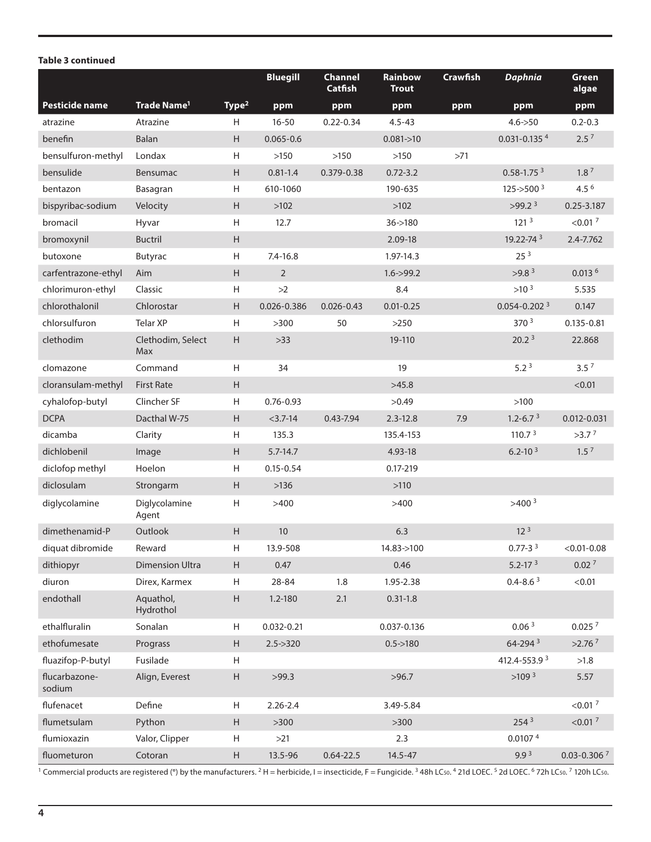|                         |                                 |                           | <b>Bluegill</b> | <b>Channel</b><br>Catfish | Rainbow<br><b>Trout</b> | <b>Crawfish</b> | <b>Daphnia</b>               | Green<br>algae       |
|-------------------------|---------------------------------|---------------------------|-----------------|---------------------------|-------------------------|-----------------|------------------------------|----------------------|
| Pesticide name          | Trade Name <sup>1</sup>         | Type <sup>2</sup>         | ppm             | ppm                       | ppm                     | ppm             | ppm                          | ppm                  |
| atrazine                | Atrazine                        | H                         | $16 - 50$       | $0.22 - 0.34$             | $4.5 - 43$              |                 | $4.6 - 50$                   | $0.2 - 0.3$          |
| benefin                 | Balan                           | H                         | $0.065 - 0.6$   |                           | $0.081 - 10$            |                 | $0.031 - 0.135$ <sup>4</sup> | 2.5 <sup>7</sup>     |
| bensulfuron-methyl      | Londax                          | H                         | >150            | >150                      | >150                    | >71             |                              |                      |
| bensulide               | Bensumac                        | H                         | $0.81 - 1.4$    | $0.379 - 0.38$            | $0.72 - 3.2$            |                 | $0.58 - 1.75$ <sup>3</sup>   | 1.8 <sup>7</sup>     |
| bentazon                | Basagran                        | H                         | 610-1060        |                           | 190-635                 |                 | $125 - 500^{3}$              | 4.5 $6$              |
| bispyribac-sodium       | Velocity                        | H                         | >102            |                           | >102                    |                 | >99.2 <sup>3</sup>           | 0.25-3.187           |
| bromacil                | Hyvar                           | H                         | 12.7            |                           | $36 - 180$              |                 | 121 <sup>3</sup>             | < 0.01 <sup>7</sup>  |
| bromoxynil              | <b>Buctril</b>                  | H                         |                 |                           | 2.09-18                 |                 | 19.22-74 3                   | 2.4-7.762            |
| butoxone                | Butyrac                         | H                         | 7.4-16.8        |                           | 1.97-14.3               |                 | 25 <sup>3</sup>              |                      |
| carfentrazone-ethyl     | Aim                             | H                         | $\overline{2}$  |                           | $1.6 - > 99.2$          |                 | >9.8 <sup>3</sup>            | 0.013 <sup>6</sup>   |
| chlorimuron-ethyl       | Classic                         | H                         | $>2$            |                           | 8.4                     |                 | $>10^{3}$                    | 5.535                |
| chlorothalonil          | Chlorostar                      | H                         | 0.026-0.386     | $0.026 - 0.43$            | $0.01 - 0.25$           |                 | $0.054 - 0.2023$             | 0.147                |
| chlorsulfuron           | <b>Telar XP</b>                 | H                         | >300            | 50                        | $>250$                  |                 | 370 3                        | $0.135 - 0.81$       |
| clethodim               | Clethodim, Select<br><b>Max</b> | H                         | $>33$           |                           | 19-110                  |                 | 20.2 <sup>3</sup>            | 22.868               |
| clomazone               | Command                         | H                         | 34              |                           | 19                      |                 | 5.2 <sup>3</sup>             | 3.5 <sup>7</sup>     |
| cloransulam-methyl      | <b>First Rate</b>               | H                         |                 |                           | >45.8                   |                 |                              | < 0.01               |
| cyhalofop-butyl         | Clincher SF                     | H                         | $0.76 - 0.93$   |                           | >0.49                   |                 | >100                         |                      |
| <b>DCPA</b>             | Dacthal W-75                    | H                         | $<$ 3.7-14      | $0.43 - 7.94$             | $2.3 - 12.8$            | 7.9             | $1.2 - 6.73$                 | $0.012 - 0.031$      |
| dicamba                 | Clarity                         | H                         | 135.3           |                           | 135.4-153               |                 | 110.7 <sup>3</sup>           | >3.7 <sup>7</sup>    |
| dichlobenil             | Image                           | H                         | $5.7 - 14.7$    |                           | 4.93-18                 |                 | $6.2 - 10^{3}$               | 1.5 <sup>7</sup>     |
| diclofop methyl         | Hoelon                          | H                         | $0.15 - 0.54$   |                           | 0.17-219                |                 |                              |                      |
| diclosulam              | Strongarm                       | H                         | $>136$          |                           | $>110$                  |                 |                              |                      |
| diglycolamine           | Diglycolamine<br>Agent          | H                         | >400            |                           | >400                    |                 | $>400^{3}$                   |                      |
| dimethenamid-P          | Outlook                         | H                         | 10              |                           | 6.3                     |                 | 12 <sup>3</sup>              |                      |
| diquat dibromide        | Reward                          | H                         | 13.9-508        |                           | 14.83->100              |                 | $0.77 - 3^{3}$               | $< 0.01 - 0.08$      |
| dithiopyr               | <b>Dimension Ultra</b>          | $\boldsymbol{\mathsf{H}}$ | 0.47            |                           | 0.46                    |                 | $5.2 - 173$                  | 0.02 <sup>7</sup>    |
| diuron                  | Direx, Karmex                   | H                         | 28-84           | 1.8                       | 1.95-2.38               |                 | $0.4 - 8.63$                 | < 0.01               |
| endothall               | Aquathol,<br>Hydrothol          | H                         | $1.2 - 180$     | 2.1                       | $0.31 - 1.8$            |                 |                              |                      |
| ethalfluralin           | Sonalan                         | H                         | $0.032 - 0.21$  |                           | 0.037-0.136             |                 | 0.06 <sup>3</sup>            | 0.025 <sup>7</sup>   |
| ethofumesate            | Prograss                        | H                         | $2.5 - 320$     |                           | 0.5 > 180               |                 | $64 - 294$ <sup>3</sup>      | $>2.76$ <sup>7</sup> |
| fluazifop-P-butyl       | Fusilade                        | H                         |                 |                           |                         |                 | 412.4-553.9 3                | >1.8                 |
| flucarbazone-<br>sodium | Align, Everest                  | $\boldsymbol{\mathsf{H}}$ | >99.3           |                           | >96.7                   |                 | $>109^{3}$                   | 5.57                 |
| flufenacet              | Define                          | H                         | $2.26 - 2.4$    |                           | 3.49-5.84               |                 |                              | < 0.01 <sup>7</sup>  |
| flumetsulam             | Python                          | $\boldsymbol{\mathsf{H}}$ | $>300$          |                           | $>300$                  |                 | 254 <sup>3</sup>             | < 0.01 <sup>7</sup>  |
| flumioxazin             | Valor, Clipper                  | H                         | $>21$           |                           | 2.3                     |                 | 0.0107 <sup>4</sup>          |                      |
| fluometuron             | Cotoran                         | H                         | 13.5-96         | $0.64 - 22.5$             | $14.5 - 47$             |                 | 9.9 <sup>3</sup>             | $0.03 - 0.306$ 7     |

<sup>1</sup> Commercial products are registered (\*) by the manufacturers. <sup>2</sup> H = herbicide, I = insecticide, F = Fungicide. <sup>3</sup> 48h LC<sub>50</sub>. <sup>4</sup> 21d LOEC. <sup>5</sup> 2d LOEC. <sup>6</sup> 72h LC<sub>50</sub>. <sup>7</sup> 120h LC<sub>50</sub>.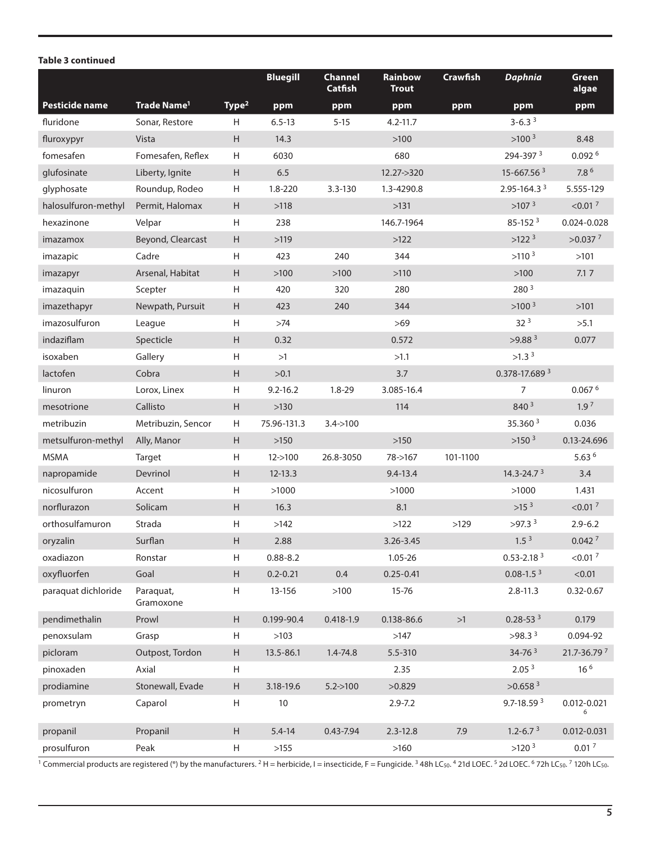|                     |                         |                           | <b>Bluegill</b> | <b>Channel</b><br><b>Catfish</b> | Rainbow<br><b>Trout</b> | <b>Crawfish</b> | <b>Daphnia</b>             | <b>Green</b><br>algae |
|---------------------|-------------------------|---------------------------|-----------------|----------------------------------|-------------------------|-----------------|----------------------------|-----------------------|
| Pesticide name      | Trade Name <sup>1</sup> | Type <sup>2</sup>         | ppm             | ppm                              | ppm                     | ppm             | ppm                        | ppm                   |
| fluridone           | Sonar, Restore          | H                         | $6.5 - 13$      | $5 - 15$                         | $4.2 - 11.7$            |                 | $3 - 6.33$                 |                       |
| fluroxypyr          | Vista                   | $\boldsymbol{\mathsf{H}}$ | 14.3            |                                  | >100                    |                 | $>100^{3}$                 | 8.48                  |
| fomesafen           | Fomesafen, Reflex       | H                         | 6030            |                                  | 680                     |                 | 294-397 <sup>3</sup>       | 0.092 <sup>6</sup>    |
| glufosinate         | Liberty, Ignite         | $\boldsymbol{\mathsf{H}}$ | $6.5$           |                                  | 12.27->320              |                 | $15 - 667.563$             | 7.8 <sup>6</sup>      |
| glyphosate          | Roundup, Rodeo          | H                         | 1.8-220         | 3.3-130                          | 1.3-4290.8              |                 | $2.95 - 164.33$            | 5.555-129             |
| halosulfuron-methyl | Permit, Halomax         | $\boldsymbol{\mathsf{H}}$ | >118            |                                  | >131                    |                 | >107 <sup>3</sup>          | < 0.01 <sup>7</sup>   |
| hexazinone          | Velpar                  | $\boldsymbol{\mathsf{H}}$ | 238             |                                  | 146.7-1964              |                 | $85-1523$                  | 0.024-0.028           |
| imazamox            | Beyond, Clearcast       | $\boldsymbol{\mathsf{H}}$ | >119            |                                  | >122                    |                 | >122 <sup>3</sup>          | $>0.037$ <sup>7</sup> |
| imazapic            | Cadre                   | H                         | 423             | 240                              | 344                     |                 | $>110^{3}$                 | >101                  |
| imazapyr            | Arsenal, Habitat        | $\boldsymbol{\mathsf{H}}$ | >100            | >100                             | >110                    |                 | $>100$                     | 7.17                  |
| imazaquin           | Scepter                 | H                         | 420             | 320                              | 280                     |                 | 280 <sup>3</sup>           |                       |
| imazethapyr         | Newpath, Pursuit        | H                         | 423             | 240                              | 344                     |                 | $>100^{3}$                 | >101                  |
| imazosulfuron       | League                  | H                         | $>74$           |                                  | >69                     |                 | 32 <sup>3</sup>            | >5.1                  |
| indaziflam          | Specticle               | $\boldsymbol{\mathsf{H}}$ | 0.32            |                                  | 0.572                   |                 | >9.88 <sup>3</sup>         | 0.077                 |
| isoxaben            | Gallery                 | H                         | >1              |                                  | >1.1                    |                 | >1.3 <sup>3</sup>          |                       |
| lactofen            | Cobra                   | $\boldsymbol{\mathsf{H}}$ | >0.1            |                                  | 3.7                     |                 | 0.378-17.689 3             |                       |
| linuron             | Lorox, Linex            | H                         | $9.2 - 16.2$    | $1.8 - 29$                       | 3.085-16.4              |                 | $\overline{7}$             | 0.067 <sup>6</sup>    |
| mesotrione          | Callisto                | H                         | $>130$          |                                  | 114                     |                 | 840 3                      | 1.9 <sup>7</sup>      |
| metribuzin          | Metribuzin, Sencor      | H                         | 75.96-131.3     | 3.4 > 100                        |                         |                 | 35.360 <sup>3</sup>        | 0.036                 |
| metsulfuron-methyl  | Ally, Manor             | $\boldsymbol{\mathsf{H}}$ | $>150$          |                                  | $>150$                  |                 | $>150^{3}$                 | 0.13-24.696           |
| <b>MSMA</b>         | Target                  | H                         | $12 - 100$      | 26.8-3050                        | 78->167                 | 101-1100        |                            | 5.63 $6$              |
| napropamide         | Devrinol                | $\boldsymbol{\mathsf{H}}$ | $12 - 13.3$     |                                  | $9.4 - 13.4$            |                 | 14.3-24.7 $3$              | 3.4                   |
| nicosulfuron        | Accent                  | $\boldsymbol{\mathsf{H}}$ | >1000           |                                  | >1000                   |                 | >1000                      | 1.431                 |
| norflurazon         | Solicam                 | $\boldsymbol{\mathsf{H}}$ | 16.3            |                                  | 8.1                     |                 | $>15^3$                    | < 0.01 <sup>7</sup>   |
| orthosulfamuron     | Strada                  | H                         | >142            |                                  | >122                    | >129            | >97.3 <sup>3</sup>         | $2.9 - 6.2$           |
| oryzalin            | Surflan                 | H                         | 2.88            |                                  | 3.26-3.45               |                 | 1.5 <sup>3</sup>           | 0.042 <sup>7</sup>    |
| oxadiazon           | Ronstar                 | H                         | $0.88 - 8.2$    |                                  | $1.05 - 26$             |                 | $0.53 - 2.183$             | < 0.01 <sup>7</sup>   |
| oxyfluorfen         | Goal                    | H                         | $0.2 - 0.21$    | 0.4                              | $0.25 - 0.41$           |                 | $0.08 - 1.53$              | < 0.01                |
| paraquat dichloride | Paraquat,<br>Gramoxone  | H                         | 13-156          | >100                             | 15-76                   |                 | $2.8 - 11.3$               | $0.32 - 0.67$         |
| pendimethalin       | Prowl                   | H                         | 0.199-90.4      | $0.418 - 1.9$                    | 0.138-86.6              | >1              | $0.28 - 533$               | 0.179                 |
| penoxsulam          | Grasp                   | H                         | >103            |                                  | >147                    |                 | >98.3 <sup>3</sup>         | 0.094-92              |
| picloram            | Outpost, Tordon         | H                         | 13.5-86.1       | 1.4-74.8                         | 5.5-310                 |                 | $34 - 763$                 | 21.7-36.797           |
| pinoxaden           | Axial                   | H                         |                 |                                  | 2.35                    |                 | 2.05 <sup>3</sup>          | 16 <sup>6</sup>       |
| prodiamine          | Stonewall, Evade        | H                         | 3.18-19.6       | 5.2 > 100                        | >0.829                  |                 | $>0.658$ <sup>3</sup>      |                       |
| prometryn           | Caparol                 | H                         | 10              |                                  | $2.9 - 7.2$             |                 | $9.7 - 18.59$ <sup>3</sup> | 0.012-0.021<br>6      |
| propanil            | Propanil                | H                         | $5.4 - 14$      | 0.43-7.94                        | $2.3 - 12.8$            | 7.9             | $1.2 - 6.73$               | 0.012-0.031           |
| prosulfuron         | Peak                    | H                         | >155            |                                  | >160                    |                 | $>120^{3}$                 | 0.01 <sup>7</sup>     |

<sup>1</sup> Commercial products are registered (®) by the manufacturers. <sup>2</sup> H = herbicide, I = insecticide, F = Fungicide. <sup>3</sup> 48h LC<sub>50</sub>. <sup>4</sup> 21d LOEC. <sup>5</sup> 2d LOEC. <sup>6</sup> 72h LC<sub>50</sub>. <sup>7</sup> 120h LC<sub>50</sub>.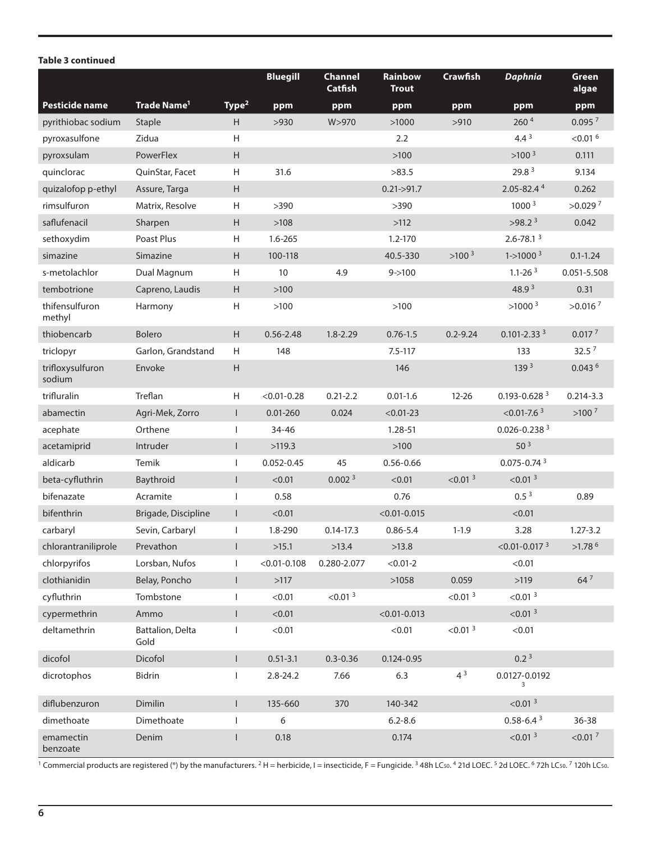|                            |                          |                           | <b>Bluegill</b>  | <b>Channel</b><br>Catfish | Rainbow<br><b>Trout</b> | <b>Crawfish</b>     | <b>Daphnia</b>               | Green<br>algae        |
|----------------------------|--------------------------|---------------------------|------------------|---------------------------|-------------------------|---------------------|------------------------------|-----------------------|
| Pesticide name             | Trade Name <sup>1</sup>  | Type <sup>2</sup>         | ppm              | ppm                       | ppm                     | ppm                 | ppm                          | ppm                   |
| pyrithiobac sodium         | Staple                   | H                         | >930             | W>970                     | >1000                   | >910                | 260 <sup>4</sup>             | 0.095 <sup>7</sup>    |
| pyroxasulfone              | Zidua                    | Н                         |                  |                           | 2.2                     |                     | 4.4 <sup>3</sup>             | $< 0.01$ <sup>6</sup> |
| pyroxsulam                 | PowerFlex                | $\mathsf{H}$              |                  |                           | >100                    |                     | $>100^{3}$                   | 0.111                 |
| quinclorac                 | QuinStar, Facet          | Н                         | 31.6             |                           | >83.5                   |                     | 29.8 <sup>3</sup>            | 9.134                 |
| quizalofop p-ethyl         | Assure, Targa            | $\sf H$                   |                  |                           | $0.21 - 91.7$           |                     | 2.05-82.44                   | 0.262                 |
| rimsulfuron                | Matrix, Resolve          | Н                         | >390             |                           | >390                    |                     | 1000 <sup>3</sup>            | $>0.029$ $^7$         |
| saflufenacil               | Sharpen                  | $\boldsymbol{\mathsf{H}}$ | >108             |                           | >112                    |                     | >98.2 <sup>3</sup>           | 0.042                 |
| sethoxydim                 | Poast Plus               | H                         | $1.6 - 265$      |                           | $1.2 - 170$             |                     | $2.6 - 78.13$                |                       |
| simazine                   | Simazine                 | H                         | 100-118          |                           | 40.5-330                | $>100^{3}$          | $1 - 10003$                  | $0.1 - 1.24$          |
| s-metolachlor              | Dual Magnum              | H                         | 10               | 4.9                       | $9 - 100$               |                     | $1.1 - 263$                  | 0.051-5.508           |
| tembotrione                | Capreno, Laudis          | $\sf H$                   | $>100$           |                           |                         |                     | 48.9 <sup>3</sup>            | 0.31                  |
| thifensulfuron<br>methyl   | Harmony                  | Н                         | >100             |                           | >100                    |                     | $>1000^3$                    | $>0.016$ <sup>7</sup> |
| thiobencarb                | Bolero                   | H                         | $0.56 - 2.48$    | $1.8 - 2.29$              | $0.76 - 1.5$            | $0.2 - 9.24$        | $0.101 - 2.333$              | 0.017 <sup>7</sup>    |
| triclopyr                  | Garlon, Grandstand       | Н                         | 148              |                           | $7.5 - 117$             |                     | 133                          | 32.5 <sup>7</sup>     |
| trifloxysulfuron<br>sodium | Envoke                   | H                         |                  |                           | 146                     |                     | 139 <sup>3</sup>             | 0.043 <sup>6</sup>    |
| trifluralin                | Treflan                  | H                         | $< 0.01 - 0.28$  | $0.21 - 2.2$              | $0.01 - 1.6$            | $12 - 26$           | $0.193 - 0.628$ <sup>3</sup> | $0.214 - 3.3$         |
| abamectin                  | Agri-Mek, Zorro          | $\mathbf{I}$              | $0.01 - 260$     | 0.024                     | $< 0.01 - 23$           |                     | $<$ 0.01-7.6 $3$             | $>100^7$              |
| acephate                   | Orthene                  | ı                         | 34-46            |                           | $1.28 - 51$             |                     | $0.026 - 0.2383$             |                       |
| acetamiprid                | Intruder                 | $\mathsf{I}$              | >119.3           |                           | >100                    |                     | 50 <sup>3</sup>              |                       |
| aldicarb                   | Temik                    | $\mathbf{I}$              | $0.052 - 0.45$   | 45                        | $0.56 - 0.66$           |                     | $0.075 - 0.74$ <sup>3</sup>  |                       |
| beta-cyfluthrin            | Baythroid                | $\mathsf{I}$              | < 0.01           | 0.002 <sup>3</sup>        | < 0.01                  | < 0.01 <sup>3</sup> | < 0.01 <sup>3</sup>          |                       |
| bifenazate                 | Acramite                 | $\mathbf{I}$              | 0.58             |                           | 0.76                    |                     | 0.5 <sup>3</sup>             | 0.89                  |
| bifenthrin                 | Brigade, Discipline      | $\mathbf{I}$              | < 0.01           |                           | $< 0.01 - 0.015$        |                     | < 0.01                       |                       |
| carbaryl                   | Sevin, Carbaryl          | $\mathbf{I}$              | 1.8-290          | $0.14 - 17.3$             | $0.86 - 5.4$            | $1 - 1.9$           | 3.28                         | $1.27 - 3.2$          |
| chlorantraniliprole        | Prevathon                | $\mathbf{I}$              | >15.1            | >13.4                     | >13.8                   |                     | $<$ 0.01-0.017 $^3$          | $>1.78$ <sup>6</sup>  |
| chlorpyrifos               | Lorsban, Nufos           | T                         | $< 0.01 - 0.108$ | 0.280-2.077               | $< 0.01 - 2$            |                     | < 0.01                       |                       |
| clothianidin               | Belay, Poncho            | $\mathsf{L}$              | >117             |                           | >1058                   | 0.059               | $>119$                       | 647                   |
| cyfluthrin                 | Tombstone                | T                         | < 0.01           | < 0.01 <sup>3</sup>       |                         | < 0.01 <sup>3</sup> | < 0.01 <sup>3</sup>          |                       |
| cypermethrin               | Ammo                     | $\mathsf{L}$              | < 0.01           |                           | $< 0.01 - 0.013$        |                     | < 0.01 <sup>3</sup>          |                       |
| deltamethrin               | Battalion, Delta<br>Gold |                           | < 0.01           |                           | < 0.01                  | < 0.01 <sup>3</sup> | < 0.01                       |                       |
| dicofol                    | Dicofol                  | $\mathbf{L}$              | $0.51 - 3.1$     | $0.3 - 0.36$              | $0.124 - 0.95$          |                     | 0.2 <sup>3</sup>             |                       |
| dicrotophos                | Bidrin                   | L                         | $2.8 - 24.2$     | 7.66                      | 6.3                     | $4^3$               | 0.0127-0.0192<br>3           |                       |
| diflubenzuron              | Dimilin                  | $\mathsf{L}$              | 135-660          | 370                       | 140-342                 |                     | < 0.01 <sup>3</sup>          |                       |
| dimethoate                 | Dimethoate               | $\mathbf{I}$              | 6                |                           | $6.2 - 8.6$             |                     | $0.58 - 6.43$                | 36-38                 |
| emamectin<br>benzoate      | Denim                    | $\mathsf{I}$              | 0.18             |                           | 0.174                   |                     | < 0.01 <sup>3</sup>          | < 0.01 <sup>7</sup>   |

<sup>1</sup> Commercial products are registered (\*) by the manufacturers. <sup>2</sup> H = herbicide, I = insecticide, F = Fungicide. <sup>3</sup> 48h LC<sub>50</sub>. <sup>4</sup> 21d LOEC. <sup>5</sup> 2d LOEC. <sup>6</sup> 72h LC<sub>50</sub>. <sup>7</sup> 120h LC<sub>50</sub>.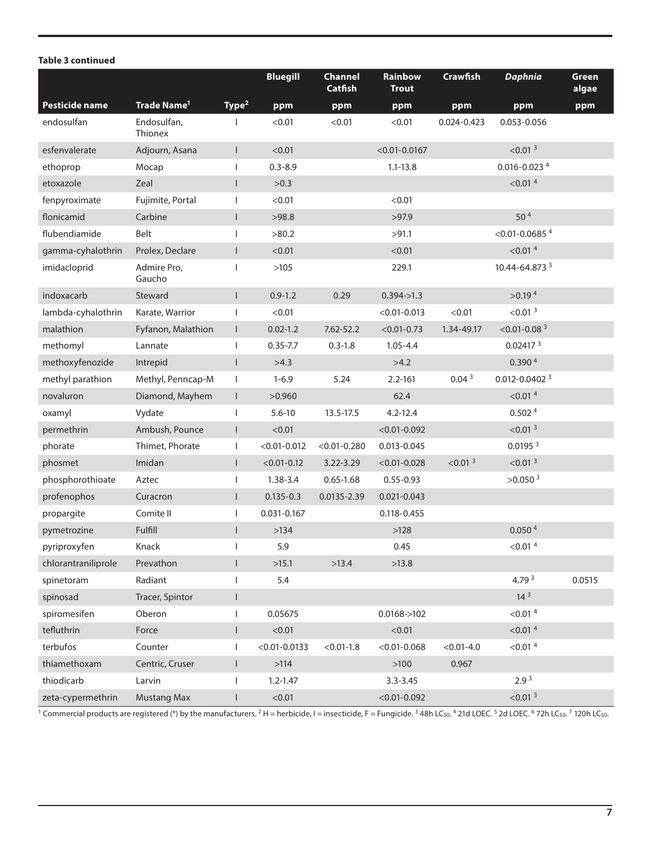|                     |                         |                   | <b>Bluegill</b>   | <b>Channel</b><br><b>Catfish</b> | Rainbow<br><b>Trout</b> | <b>Crawfish</b>     | <b>Daphnia</b>                | <b>Green</b><br>algae |
|---------------------|-------------------------|-------------------|-------------------|----------------------------------|-------------------------|---------------------|-------------------------------|-----------------------|
| Pesticide name      | Trade Name <sup>1</sup> | Type <sup>2</sup> | ppm               | ppm                              | ppm                     | ppm                 | ppm                           | ppm                   |
| endosulfan          | Endosulfan,<br>Thionex  |                   | < 0.01            | < 0.01                           | < 0.01                  | $0.024 - 0.423$     | 0.053-0.056                   |                       |
| esfenvalerate       | Adjourn, Asana          | L                 | < 0.01            |                                  | $<$ 0.01-0.0167         |                     | < 0.01 <sup>3</sup>           |                       |
| ethoprop            | Mocap                   | T                 | $0.3 - 8.9$       |                                  | $1.1 - 13.8$            |                     | $0.016 - 0.023$ <sup>4</sup>  |                       |
| etoxazole           | Zeal                    | L                 | >0.3              |                                  |                         |                     | < 0.01 <sup>4</sup>           |                       |
| fenpyroximate       | Fujimite, Portal        |                   | < 0.01            |                                  | < 0.01                  |                     |                               |                       |
| flonicamid          | Carbine                 | L                 | >98.8             |                                  | >97.9                   |                     | 50 <sup>4</sup>               |                       |
| flubendiamide       | Belt                    | L                 | >80.2             |                                  | >91.1                   |                     | $<$ 0.01-0.0685 $4$           |                       |
| gamma-cyhalothrin   | Prolex, Declare         | $\mathsf{I}$      | < 0.01            |                                  | < 0.01                  |                     | < 0.01 <sup>4</sup>           |                       |
| imidacloprid        | Admire Pro,<br>Gaucho   |                   | >105              |                                  | 229.1                   |                     | 10.44-64.873 3                |                       |
| indoxacarb          | Steward                 | L                 | $0.9 - 1.2$       | 0.29                             | $0.394 - 1.3$           |                     | >0.19 <sup>4</sup>            |                       |
| lambda-cyhalothrin  | Karate, Warrior         |                   | < 0.01            |                                  | $< 0.01 - 0.013$        | < 0.01              | < 0.01 <sup>3</sup>           |                       |
| malathion           | Fyfanon, Malathion      | $\mathsf{I}$      | $0.02 - 1.2$      | 7.62-52.2                        | $< 0.01 - 0.73$         | 1.34-49.17          | $<$ 0.01-0.08 $3$             |                       |
| methomyl            | Lannate                 | $\mathbf{I}$      | $0.35 - 7.7$      | $0.3 - 1.8$                      | $1.05 - 4.4$            |                     | 0.02417 <sup>3</sup>          |                       |
| methoxyfenozide     | Intrepid                | $\mathsf{I}$      | >4.3              |                                  | >4.2                    |                     | 0.390 <sup>4</sup>            |                       |
| methyl parathion    | Methyl, Penncap-M       | T                 | $1 - 6.9$         | 5.24                             | $2.2 - 161$             | 0.04 <sup>3</sup>   | $0.012 - 0.0402$ <sup>3</sup> |                       |
| novaluron           | Diamond, Mayhem         | $\mathsf{I}$      | >0.960            |                                  | 62.4                    |                     | < 0.01 <sup>4</sup>           |                       |
| oxamyl              | Vydate                  | T                 | $5.6 - 10$        | 13.5-17.5                        | $4.2 - 12.4$            |                     | 0.502 <sup>4</sup>            |                       |
| permethrin          | Ambush, Pounce          | $\mathsf{I}$      | < 0.01            |                                  | $< 0.01 - 0.092$        |                     | < 0.01 <sup>3</sup>           |                       |
| phorate             | Thimet, Phorate         | $\mathbf{I}$      | $< 0.01 - 0.012$  | $< 0.01 - 0.280$                 | 0.013-0.045             |                     | 0.0195 <sup>3</sup>           |                       |
| phosmet             | Imidan                  | L                 | $< 0.01 - 0.12$   | 3.22-3.29                        | $< 0.01 - 0.028$        | < 0.01 <sup>3</sup> | < 0.01 <sup>3</sup>           |                       |
| phosphorothioate    | Aztec                   | T                 | $1.38 - 3.4$      | $0.65 - 1.68$                    | $0.55 - 0.93$           |                     | $>0.050$ <sup>3</sup>         |                       |
| profenophos         | Curacron                | L                 | $0.135 - 0.3$     | 0.0135-2.39                      | 0.021-0.043             |                     |                               |                       |
| propargite          | Comite II               | $\mathbf{I}$      | $0.031 - 0.167$   |                                  | 0.118-0.455             |                     |                               |                       |
| pymetrozine         | Fulfill                 | L                 | >134              |                                  | >128                    |                     | 0.050 <sup>4</sup>            |                       |
| pyriproxyfen        | Knack                   |                   | 5.9               |                                  | 0.45                    |                     | < 0.01 <sup>4</sup>           |                       |
| chlorantraniliprole | Prevathon               | L                 | >15.1             | >13.4                            | >13.8                   |                     |                               |                       |
| spinetoram          | Radiant                 |                   | 5.4               |                                  |                         |                     | 4.79 $3$                      | 0.0515                |
| spinosad            | Tracer, Spintor         | L                 |                   |                                  |                         |                     | 14 <sup>3</sup>               |                       |
| spiromesifen        | Oberon                  | L                 | 0.05675           |                                  | $0.0168 - 102$          |                     | < 0.01 <sup>4</sup>           |                       |
| tefluthrin          | Force                   | L                 | < 0.01            |                                  | < 0.01                  |                     | < 0.01 <sup>4</sup>           |                       |
| terbufos            | Counter                 | L                 | $< 0.01 - 0.0133$ | $< 0.01 - 1.8$                   | $< 0.01 - 0.068$        | $< 0.01 - 4.0$      | < 0.01 <sup>4</sup>           |                       |
| thiamethoxam        | Centric, Cruser         | L                 | $>114$            |                                  | $>100$                  | 0.967               |                               |                       |
| thiodicarb          | Larvin                  | L                 | $1.2 - 1.47$      |                                  | $3.3 - 3.45$            |                     | 2.9 <sup>3</sup>              |                       |
| zeta-cypermethrin   | <b>Mustang Max</b>      | L                 | < 0.01            |                                  | $< 0.01 - 0.092$        |                     | < 0.01 <sup>3</sup>           |                       |

<sup>1</sup> Commercial products are registered (\*) by the manufacturers. <sup>2</sup> H = herbicide, I = insecticide, F = Fungicide. <sup>3</sup> 48h LC<sub>50</sub>. <sup>4</sup> 21d LOEC. <sup>5</sup> 2d LOEC. <sup>6</sup> 72h LC<sub>50</sub>. <sup>7</sup> 120h LC<sub>50</sub>.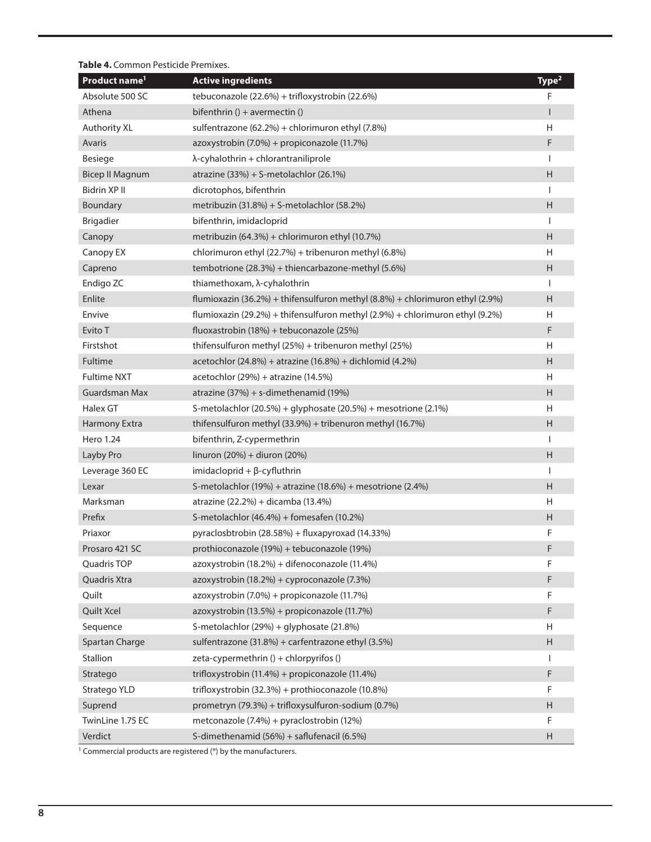| Product name <sup>1</sup> | <b>Active ingredients</b>                                                     | Type <sup>2</sup> |
|---------------------------|-------------------------------------------------------------------------------|-------------------|
| Absolute 500 SC           | tebuconazole (22.6%) + trifloxystrobin (22.6%)                                | F                 |
| Athena                    | bifenthrin $() + a$ vermectin $()$                                            | $\mathsf{I}$      |
| Authority XL              | sulfentrazone (62.2%) + chlorimuron ethyl (7.8%)                              | H                 |
| Avaris                    | azoxystrobin (7.0%) + propiconazole (11.7%)                                   | F                 |
| <b>Besiege</b>            | $\lambda$ -cyhalothrin + chlorantraniliprole                                  |                   |
| <b>Bicep II Magnum</b>    | atrazine (33%) + S-metolachlor (26.1%)                                        | Η                 |
| Bidrin XP II              | dicrotophos, bifenthrin                                                       | L                 |
| Boundary                  | metribuzin (31.8%) + S-metolachlor (58.2%)                                    | H                 |
| <b>Brigadier</b>          | bifenthrin, imidacloprid                                                      |                   |
| Canopy                    | metribuzin (64.3%) + chlorimuron ethyl (10.7%)                                | H                 |
| Canopy EX                 | chlorimuron ethyl (22.7%) + tribenuron methyl (6.8%)                          | H                 |
| Capreno                   | tembotrione (28.3%) + thiencarbazone-methyl (5.6%)                            | H                 |
| Endigo ZC                 | thiamethoxam, λ-cyhalothrin                                                   |                   |
| Enlite                    | flumioxazin (36.2%) + thifensulfuron methyl (8.8%) + chlorimuron ethyl (2.9%) | H                 |
| Envive                    | flumioxazin (29.2%) + thifensulfuron methyl (2.9%) + chlorimuron ethyl (9.2%) | Н                 |
| Evito T                   | fluoxastrobin (18%) + tebuconazole (25%)                                      | F                 |
| Firstshot                 | thifensulfuron methyl (25%) + tribenuron methyl (25%)                         | н                 |
| Fultime                   | acetochlor $(24.8\%)$ + atrazine $(16.8\%)$ + dichlomid $(4.2\%)$             | H                 |
| <b>Fultime NXT</b>        | acetochlor $(29%) + \text{atrazione}$ $(14.5%)$                               | н                 |
| Guardsman Max             | atrazine (37%) + s-dimethenamid (19%)                                         | H                 |
| Halex GT                  | S-metolachlor (20.5%) + glyphosate (20.5%) + mesotrione (2.1%)                | н                 |
| Harmony Extra             | thifensulfuron methyl (33.9%) + tribenuron methyl (16.7%)                     | H                 |
| Hero 1.24                 | bifenthrin, Z-cypermethrin                                                    |                   |
| Layby Pro                 | linuron (20%) + diuron (20%)                                                  | H                 |
| Leverage 360 EC           | imidacloprid + $\beta$ -cyfluthrin                                            | L                 |
| Lexar                     | S-metolachlor (19%) + atrazine (18.6%) + mesotrione (2.4%)                    | H                 |
| Marksman                  | atrazine (22.2%) + dicamba (13.4%)                                            | H                 |
| Prefix                    | S-metolachlor (46.4%) + fomesafen (10.2%)                                     | H                 |
| Priaxor                   | pyraclosbtrobin (28.58%) + fluxapyroxad (14.33%)                              | F                 |
| Prosaro 421 SC            | prothioconazole (19%) + tebuconazole (19%)                                    | F                 |
| Quadris TOP               | azoxystrobin (18.2%) + difenoconazole (11.4%)                                 | F                 |
| Quadris Xtra              | azoxystrobin (18.2%) + cyproconazole (7.3%)                                   | F                 |
| Quilt                     | azoxystrobin (7.0%) + propiconazole (11.7%)                                   | F                 |
| Quilt Xcel                | azoxystrobin (13.5%) + propiconazole (11.7%)                                  | F                 |
| Sequence                  | S-metolachlor (29%) + glyphosate (21.8%)                                      | Н                 |
| Spartan Charge            | sulfentrazone (31.8%) + carfentrazone ethyl (3.5%)                            | H                 |
| Stallion                  | zeta-cypermethrin () + chlorpyrifos ()                                        |                   |
| Stratego                  | trifloxystrobin (11.4%) + propiconazole (11.4%)                               | F                 |
| Stratego YLD              | trifloxystrobin (32.3%) + prothioconazole (10.8%)                             | F                 |
| Suprend                   | prometryn (79.3%) + trifloxysulfuron-sodium (0.7%)                            | H                 |
| TwinLine 1.75 EC          | metconazole (7.4%) + pyraclostrobin (12%)                                     | F                 |
| Verdict                   | S-dimethenamid (56%) + saflufenacil (6.5%)                                    | H                 |

<sup>1</sup> Commercial products are registered ( $\degree$ ) by the manufacturers.